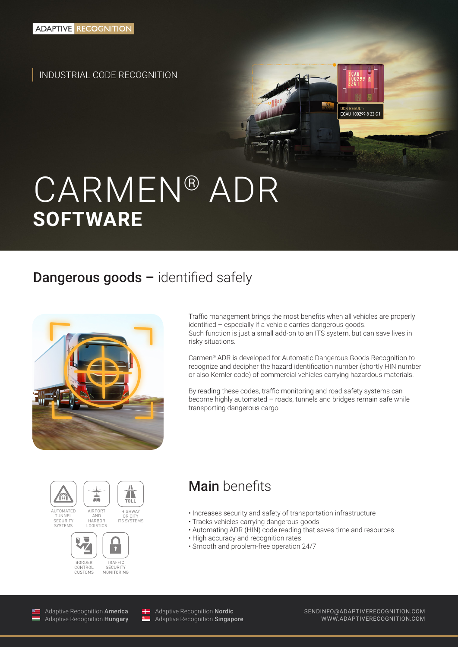INDUSTRIAL CODE RECOGNITION

# CARMEN® ADR **SOFTWARE**

### Dangerous goods - identified safely



Traffic management brings the most benefits when all vehicles are properly identified – especially if a vehicle carries dangerous goods. Such function is just a small add-on to an ITS system, but can save lives in risky situations.

OCR RESULT:<br>**ECAU 100299 8 22 G**1

Carmen® ADR is developed for Automatic Dangerous Goods Recognition to recognize and decipher the hazard identification number (shortly HIN number or also Kemler code) of commercial vehicles carrying hazardous materials.

By reading these codes, traffic monitoring and road safety systems can become highly automated – roads, tunnels and bridges remain safe while transporting dangerous cargo.



**SECURITY** SESSINI<br>SVSTEMS



ITS SYSTEMS

AIRPORT AND HARBOR LOGISTICS



### Main benefits

- Increases security and safety of transportation infrastructure
- Tracks vehicles carrying dangerous goods
- Automating ADR (HIN) code reading that saves time and resources
- High accuracy and recognition rates
- Smooth and problem-free operation 24/7

Adaptive Recognition America Adaptive Recognition Hungary

Adaptive Recognition Nordic Adaptive Recognition **Singapore**  SENDINFO@ADAPTIVERECOGNITION.COM WWW.ADAPTIVERECOGNITION.COM